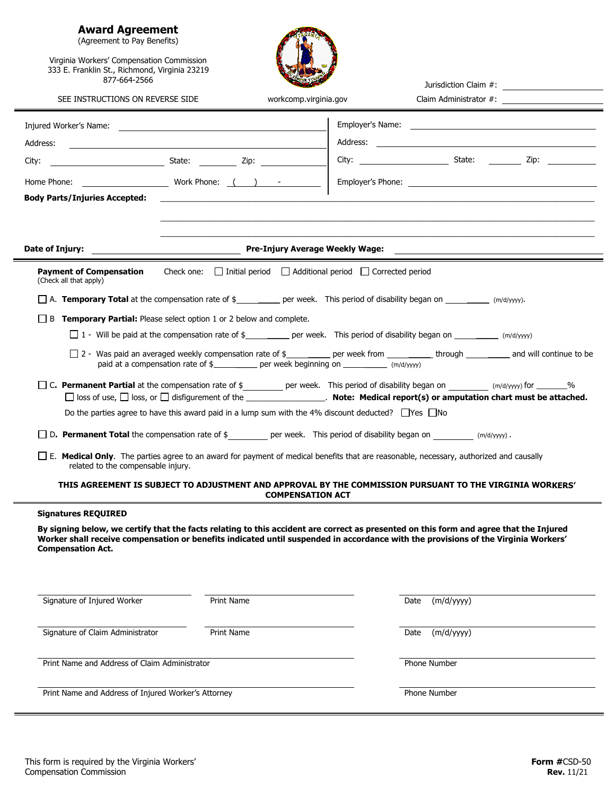## **Award Agreement**

(Agreement to Pay Benefits)

 $\equiv$ 

Virginia Workers' Compensation Commission 333 E. Franklin St., Richmond, Virginia 23219 877-664-2566

|                                                                                                                                                                                                                                    | Jurisdiction Claim #:                                                                                                                                                                                                                                                        |
|------------------------------------------------------------------------------------------------------------------------------------------------------------------------------------------------------------------------------------|------------------------------------------------------------------------------------------------------------------------------------------------------------------------------------------------------------------------------------------------------------------------------|
| SEE INSTRUCTIONS ON REVERSE SIDE                                                                                                                                                                                                   | workcomp.virginia.gov                                                                                                                                                                                                                                                        |
|                                                                                                                                                                                                                                    |                                                                                                                                                                                                                                                                              |
| Address:                                                                                                                                                                                                                           |                                                                                                                                                                                                                                                                              |
|                                                                                                                                                                                                                                    |                                                                                                                                                                                                                                                                              |
|                                                                                                                                                                                                                                    |                                                                                                                                                                                                                                                                              |
| <b>Body Parts/Injuries Accepted:</b> And the state of the state of the state of the state of the state of the state of the state of the state of the state of the state of the state of the state of the state of the state of the |                                                                                                                                                                                                                                                                              |
|                                                                                                                                                                                                                                    |                                                                                                                                                                                                                                                                              |
|                                                                                                                                                                                                                                    |                                                                                                                                                                                                                                                                              |
| Date of Injury:                                                                                                                                                                                                                    | <b>Example 2 Pre-Injury Average Weekly Wage:</b> The Contract of the Pre-Injury Average Weekly Wage:                                                                                                                                                                         |
| <b>Payment of Compensation</b><br>(Check all that apply)                                                                                                                                                                           | Check one: $\Box$ Initial period $\Box$ Additional period $\Box$ Corrected period                                                                                                                                                                                            |
|                                                                                                                                                                                                                                    | $\Box$ A. <b>Temporary Total</b> at the compensation rate of $\frac{4}{2}$ per week. This period of disability began on ___________ (m/d/yyyy).                                                                                                                              |
| $\Box$ B <b>Temporary Partial:</b> Please select option 1 or 2 below and complete.                                                                                                                                                 |                                                                                                                                                                                                                                                                              |
|                                                                                                                                                                                                                                    | $\Box$ 1 - Will be paid at the compensation rate of \$_________ per week. This period of disability began on __________ (m/d/yyyy)                                                                                                                                           |
|                                                                                                                                                                                                                                    | □ 2 - Was paid an averaged weekly compensation rate of \$ _________ per week from __________ through _________ and will continue to be<br>paid at a compensation rate of \$___________ per week beginning on ___________ (m/d/yyyy)                                          |
|                                                                                                                                                                                                                                    | □ C. Permanent Partial at the compensation rate of \$ _______ per week. This period of disability began on _______ (m/d/yyyy) for ______%                                                                                                                                    |
|                                                                                                                                                                                                                                    | □ loss of use, □ loss, or □ disfigurement of the __________________. Note: Medical report(s) or amputation chart must be attached.                                                                                                                                           |
|                                                                                                                                                                                                                                    | Do the parties agree to have this award paid in a lump sum with the 4% discount deducted? $\Box$ Yes $\Box$ No                                                                                                                                                               |
|                                                                                                                                                                                                                                    | $\Box$ D. <b>Permanent Total</b> the compensation rate of $\oint$ per week. This period of disability began on $(m/d/yy)$ .                                                                                                                                                  |
| related to the compensable injury.                                                                                                                                                                                                 | □ E. Medical Only. The parties agree to an award for payment of medical benefits that are reasonable, necessary, authorized and causally                                                                                                                                     |
|                                                                                                                                                                                                                                    | THIS AGREEMENT IS SUBJECT TO ADJUSTMENT AND APPROVAL BY THE COMMISSION PURSUANT TO THE VIRGINIA WORKERS'<br><b>COMPENSATION ACT</b>                                                                                                                                          |
| <b>Signatures REQUIRED</b>                                                                                                                                                                                                         |                                                                                                                                                                                                                                                                              |
| <b>Compensation Act.</b>                                                                                                                                                                                                           | By signing below, we certify that the facts relating to this accident are correct as presented on this form and agree that the Injured<br>Worker shall receive compensation or benefits indicated until suspended in accordance with the provisions of the Virginia Workers' |
|                                                                                                                                                                                                                                    |                                                                                                                                                                                                                                                                              |
| Signature of Injured Worker<br>Print Name                                                                                                                                                                                          | (m/d/yyyy)<br>Date                                                                                                                                                                                                                                                           |
|                                                                                                                                                                                                                                    |                                                                                                                                                                                                                                                                              |
| Signature of Claim Administrator<br>Print Name                                                                                                                                                                                     | (m/d/yyyy)<br>Date                                                                                                                                                                                                                                                           |
|                                                                                                                                                                                                                                    |                                                                                                                                                                                                                                                                              |
| Print Name and Address of Claim Administrator                                                                                                                                                                                      | Phone Number                                                                                                                                                                                                                                                                 |
| Print Name and Address of Injured Worker's Attorney                                                                                                                                                                                | Phone Number                                                                                                                                                                                                                                                                 |